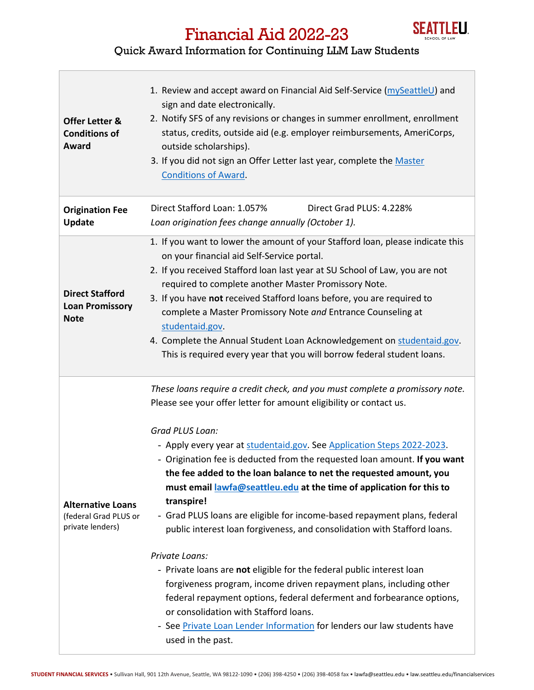

## Financial Aid 2022-23

## Quick Award Information for Continuing LLM Law Students

| <b>Offer Letter &amp;</b><br><b>Conditions of</b><br>Award            | 1. Review and accept award on Financial Aid Self-Service (mySeattleU) and<br>sign and date electronically.<br>2. Notify SFS of any revisions or changes in summer enrollment, enrollment<br>status, credits, outside aid (e.g. employer reimbursements, AmeriCorps,<br>outside scholarships).<br>3. If you did not sign an Offer Letter last year, complete the Master<br><b>Conditions of Award.</b>                                                                                                                                                                                                                                                                                                                                                                                                                                                                                                                                                                                                                                |
|-----------------------------------------------------------------------|--------------------------------------------------------------------------------------------------------------------------------------------------------------------------------------------------------------------------------------------------------------------------------------------------------------------------------------------------------------------------------------------------------------------------------------------------------------------------------------------------------------------------------------------------------------------------------------------------------------------------------------------------------------------------------------------------------------------------------------------------------------------------------------------------------------------------------------------------------------------------------------------------------------------------------------------------------------------------------------------------------------------------------------|
| <b>Origination Fee</b><br><b>Update</b>                               | Direct Stafford Loan: 1.057%<br>Direct Grad PLUS: 4.228%<br>Loan origination fees change annually (October 1).                                                                                                                                                                                                                                                                                                                                                                                                                                                                                                                                                                                                                                                                                                                                                                                                                                                                                                                       |
| <b>Direct Stafford</b><br><b>Loan Promissory</b><br><b>Note</b>       | 1. If you want to lower the amount of your Stafford loan, please indicate this<br>on your financial aid Self-Service portal.<br>2. If you received Stafford loan last year at SU School of Law, you are not<br>required to complete another Master Promissory Note.<br>3. If you have not received Stafford loans before, you are required to<br>complete a Master Promissory Note and Entrance Counseling at<br>studentaid.gov.<br>4. Complete the Annual Student Loan Acknowledgement on studentaid.gov.<br>This is required every year that you will borrow federal student loans.                                                                                                                                                                                                                                                                                                                                                                                                                                                |
| <b>Alternative Loans</b><br>(federal Grad PLUS or<br>private lenders) | These loans require a credit check, and you must complete a promissory note.<br>Please see your offer letter for amount eligibility or contact us.<br>Grad PLUS Loan:<br>- Apply every year at studentaid.gov. See Application Steps 2022-2023.<br>- Origination fee is deducted from the requested loan amount. If you want<br>the fee added to the loan balance to net the requested amount, you<br>must email lawfa@seattleu.edu at the time of application for this to<br>transpire!<br>- Grad PLUS loans are eligible for income-based repayment plans, federal<br>public interest loan forgiveness, and consolidation with Stafford loans.<br>Private Loans:<br>- Private loans are not eligible for the federal public interest loan<br>forgiveness program, income driven repayment plans, including other<br>federal repayment options, federal deferment and forbearance options,<br>or consolidation with Stafford loans.<br>- See Private Loan Lender Information for lenders our law students have<br>used in the past. |